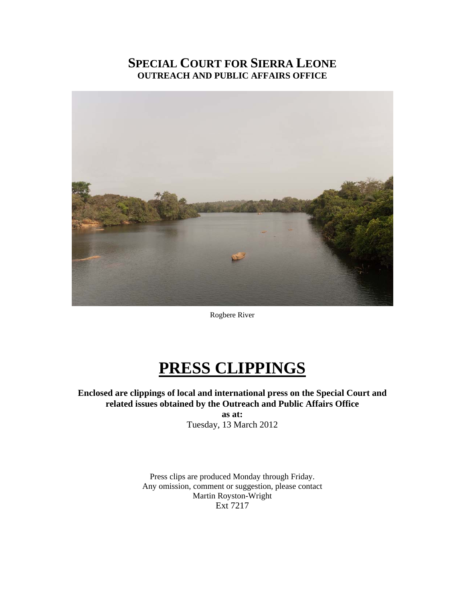# **SPECIAL COURT FOR SIERRA LEONE OUTREACH AND PUBLIC AFFAIRS OFFICE**



Rogbere River

# **PRESS CLIPPINGS**

**Enclosed are clippings of local and international press on the Special Court and related issues obtained by the Outreach and Public Affairs Office as at:** 

Tuesday, 13 March 2012

Press clips are produced Monday through Friday. Any omission, comment or suggestion, please contact Martin Royston-Wright Ext 7217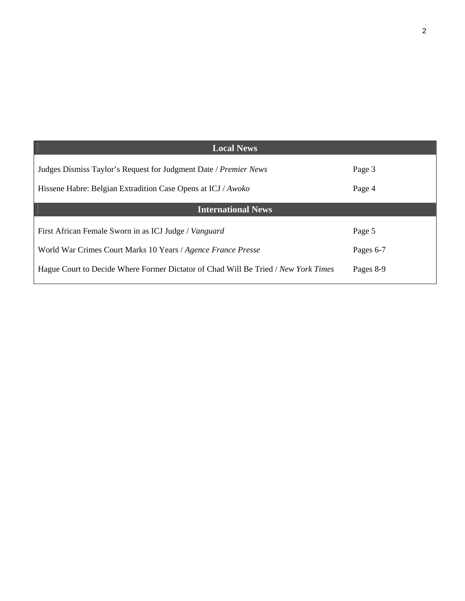| <b>Local News</b>                                                                  |           |
|------------------------------------------------------------------------------------|-----------|
| Judges Dismiss Taylor's Request for Judgment Date / Premier News                   | Page 3    |
| Hissene Habre: Belgian Extradition Case Opens at ICJ / Awoko                       | Page 4    |
| <b>International News</b>                                                          |           |
| First African Female Sworn in as ICJ Judge / Vanguard                              | Page 5    |
| World War Crimes Court Marks 10 Years / Agence France Presse                       | Pages 6-7 |
| Hague Court to Decide Where Former Dictator of Chad Will Be Tried / New York Times | Pages 8-9 |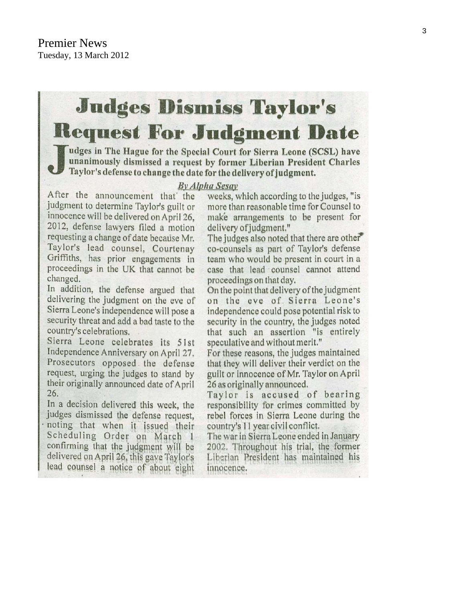# **Judges Dismiss Taylor's Request For Judgment Date**

#### udges in The Hague for the Special Court for Sierra Leone (SCSL) have unanimously dismissed a request by former Liberian President Charles Taylor's defense to change the date for the delivery of judgment.

#### **By Alpha Sesay**

After the announcement that the judgment to determine Taylor's guilt or innocence will be delivered on April 26, 2012, defense lawyers filed a motion requesting a change of date because Mr. Taylor's lead counsel, Courtenay Griffiths, has prior engagements in proceedings in the UK that cannot be changed.

In addition, the defense argued that delivering the judgment on the eve of Sierra Leone's independence will pose a security threat and add a bad taste to the country's celebrations.

Sierra Leone celebrates its 51st Independence Anniversary on April 27. Prosecutors opposed the defense request, urging the judges to stand by their originally announced date of April 26.

In a decision delivered this week, the judges dismissed the defense request, noting that when it issued their Scheduling Order on March 1 confirming that the judgment will be delivered on April 26, this gave Taylor's lead counsel a notice of about eight

weeks, which according to the judges, "is more than reasonable time for Counsel to make arrangements to be present for delivery of judgment."

The judges also noted that there are other co-counsels as part of Taylor's defense team who would be present in court in a case that lead counsel cannot attend proceedings on that day.

On the point that delivery of the judgment on the eve of Sierra Leone's independence could pose potential risk to security in the country, the judges noted that such an assertion "is entirely speculative and without merit."

For these reasons, the judges maintained that they will deliver their verdict on the guilt or innocence of Mr. Taylor on April 26 as originally announced.

Taylor is accused of bearing responsibility for crimes committed by rebel forces in Sierra Leone during the country's 11 year civil conflict.

The war in Sierra Leone ended in January 2002. Throughout his trial, the former Liberian President has maintained his innocence.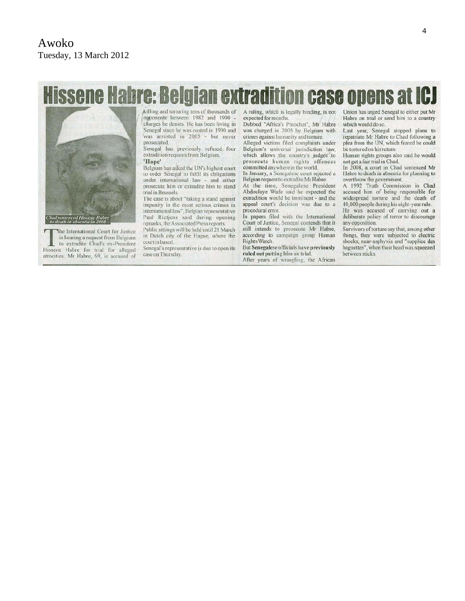### **Hissene Habre: Belgian extradition Case opens**



The International Court for Justice is hearing a request from Belgium to extradite Chad's ex-President Hissene Habre for trial for alleged atrocities. Mr Habre, 69, is accused of killing and torturing tens of thousands of opponents between 1982 and 1990 charges he denies. He has been living in Senegal since he was ousted in 1990 and was arrested in 2005 - but never prosecuted.

Senegal has previously refused, four extradition requests from Belgium. 'Hope'

Belgium has asked the UN's highest court to order Senegal to fulfil its obligations under international law - and either prosecute him or extradite him to stand trial in Brussels.

The case is about "taking a stand against impunity in the most serious crimes in international law". Belgian representative Paul Rietjens said during opening remarks, the Associated Press reports.

Public sittings will be held until 21 March in Dutch city of the Hague, where the court is based.

Senegal's representative is due to open its case on Thursday.

A ruling, which is legally binding, is not expected for months.

Dubbed "Africa's Pinochet", Mr Habre was charged in 2005 by Belgium with crimes against humanity and torture.

Alleged victims filed complaints under Belgium's universal jurisdiction law, which allows the country's judges to prosecute human rights offences committed anywhere in the world.

In January, a Senegalese court rejected a Belgian request to extradite Mr Habre.

At the time, Senegalese President Abdoulaye Wade said he expected the extradition would be imminent - and the appeal court's decision was due to a procedural error.

In papers filed with the International Court of Justice, Senegal contends that it still intends to prosecute Mr Habre, according to campaign group Human Rights Watch

But Senegalese officials have previously ruled out putting him on trial.

After years of wrangling, the African

Union has urged Senegal to either put Mr Habre on trial or send him to a country which would do so.

Last year, Senegal stopped plans to repatriate Mr Habre to Chad following a plea from the UN, which feared he could be tortured on his return.

Human rights groups also said he would not get a fair trial in Chad.

In 2008, a court in Chad sentenced Mr Habre to death in absentia for planning to overthrow the government.

A 1992 Truth Commission in Chad accused him of being responsible for widespread torture and the death of 40,000 people during his eight-year rule. He was accused of carrying out a

deliberate policy of terror to discourage any opposition. Survivors of torture say that, among other

things, they were subjected to electric shocks, near-asphyxia and "supplice des baguettes", when their head was squeezed between sticks.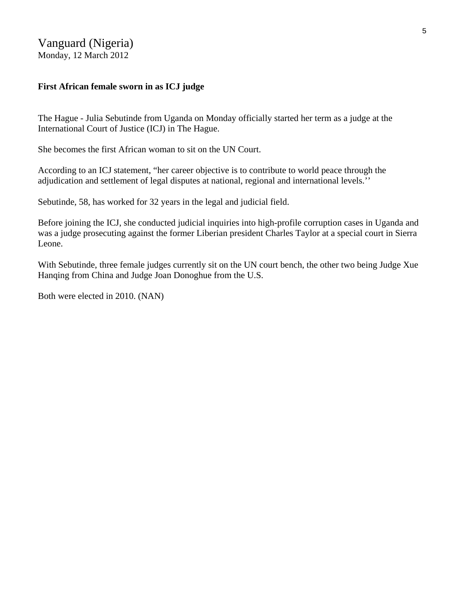Vanguard (Nigeria) Monday, 12 March 2012

#### **First African female sworn in as ICJ judge**

The Hague - Julia Sebutinde from Uganda on Monday officially started her term as a judge at the International Court of Justice (ICJ) in The Hague.

She becomes the first African woman to sit on the UN Court.

According to an ICJ statement, "her career objective is to contribute to world peace through the adjudication and settlement of legal disputes at national, regional and international levels.''

Sebutinde, 58, has worked for 32 years in the legal and judicial field.

Before joining the ICJ, she conducted judicial inquiries into high-profile corruption cases in Uganda and was a judge prosecuting against the former Liberian president Charles Taylor at a special court in Sierra Leone.

With Sebutinde, three female judges currently sit on the UN court bench, the other two being Judge Xue Hanqing from China and Judge Joan Donoghue from the U.S.

Both were elected in 2010. (NAN)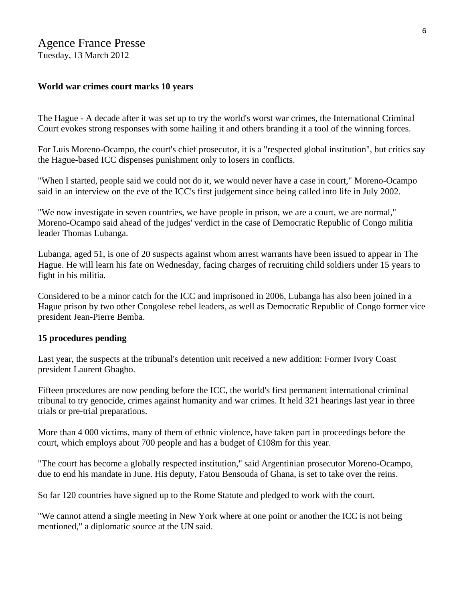# Agence France Presse

Tuesday, 13 March 2012

#### **World war crimes court marks 10 years**

The Hague - A decade after it was set up to try the world's worst war crimes, the International Criminal Court evokes strong responses with some hailing it and others branding it a tool of the winning forces.

For Luis Moreno-Ocampo, the court's chief prosecutor, it is a "respected global institution", but critics say the Hague-based ICC dispenses punishment only to losers in conflicts.

"When I started, people said we could not do it, we would never have a case in court," Moreno-Ocampo said in an interview on the eve of the ICC's first judgement since being called into life in July 2002.

"We now investigate in seven countries, we have people in prison, we are a court, we are normal," Moreno-Ocampo said ahead of the judges' verdict in the case of Democratic Republic of Congo militia leader Thomas Lubanga.

Lubanga, aged 51, is one of 20 suspects against whom arrest warrants have been issued to appear in The Hague. He will learn his fate on Wednesday, facing charges of recruiting child soldiers under 15 years to fight in his militia.

Considered to be a minor catch for the ICC and imprisoned in 2006, Lubanga has also been joined in a Hague prison by two other Congolese rebel leaders, as well as Democratic Republic of Congo former vice president Jean-Pierre Bemba.

#### **15 procedures pending**

Last year, the suspects at the tribunal's detention unit received a new addition: Former Ivory Coast president Laurent Gbagbo.

Fifteen procedures are now pending before the ICC, the world's first permanent international criminal tribunal to try genocide, crimes against humanity and war crimes. It held 321 hearings last year in three trials or pre-trial preparations.

More than 4 000 victims, many of them of ethnic violence, have taken part in proceedings before the court, which employs about 700 people and has a budget of  $\epsilon$  08m for this year.

"The court has become a globally respected institution," said Argentinian prosecutor Moreno-Ocampo, due to end his mandate in June. His deputy, Fatou Bensouda of Ghana, is set to take over the reins.

So far 120 countries have signed up to the Rome Statute and pledged to work with the court.

"We cannot attend a single meeting in New York where at one point or another the ICC is not being mentioned," a diplomatic source at the UN said.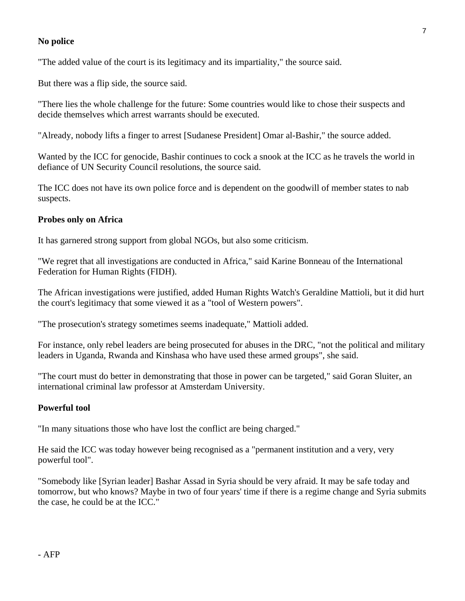#### **No police**

"The added value of the court is its legitimacy and its impartiality," the source said.

But there was a flip side, the source said.

"There lies the whole challenge for the future: Some countries would like to chose their suspects and decide themselves which arrest warrants should be executed.

"Already, nobody lifts a finger to arrest [Sudanese President] Omar al-Bashir," the source added.

Wanted by the ICC for genocide, Bashir continues to cock a snook at the ICC as he travels the world in defiance of UN Security Council resolutions, the source said.

The ICC does not have its own police force and is dependent on the goodwill of member states to nab suspects.

#### **Probes only on Africa**

It has garnered strong support from global NGOs, but also some criticism.

"We regret that all investigations are conducted in Africa," said Karine Bonneau of the International Federation for Human Rights (FIDH).

The African investigations were justified, added Human Rights Watch's Geraldine Mattioli, but it did hurt the court's legitimacy that some viewed it as a "tool of Western powers".

"The prosecution's strategy sometimes seems inadequate," Mattioli added.

For instance, only rebel leaders are being prosecuted for abuses in the DRC, "not the political and military leaders in Uganda, Rwanda and Kinshasa who have used these armed groups", she said.

"The court must do better in demonstrating that those in power can be targeted," said Goran Sluiter, an international criminal law professor at Amsterdam University.

#### **Powerful tool**

"In many situations those who have lost the conflict are being charged."

He said the ICC was today however being recognised as a "permanent institution and a very, very powerful tool".

"Somebody like [Syrian leader] Bashar Assad in Syria should be very afraid. It may be safe today and tomorrow, but who knows? Maybe in two of four years' time if there is a regime change and Syria submits the case, he could be at the ICC."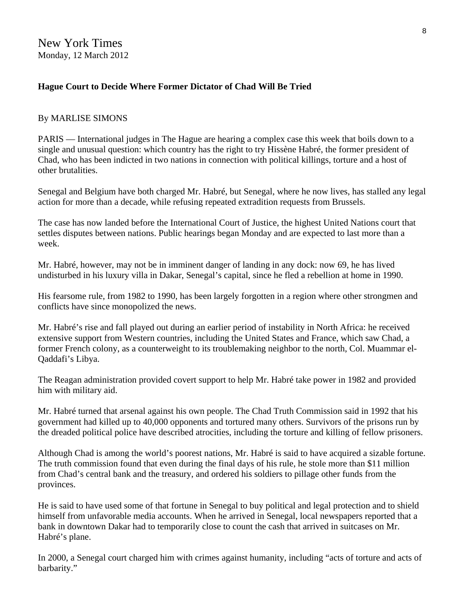#### **Hague Court to Decide Where Former Dictator of Chad Will Be Tried**

#### By MARLISE SIMONS

PARIS — International judges in The Hague are hearing a complex case this week that boils down to a single and unusual question: which country has the right to try Hissène Habré, the former president of Chad, who has been indicted in two nations in connection with political killings, torture and a host of other brutalities.

Senegal and Belgium have both charged Mr. Habré, but Senegal, where he now lives, has stalled any legal action for more than a decade, while refusing repeated extradition requests from Brussels.

The case has now landed before the International Court of Justice, the highest United Nations court that settles disputes between nations. Public hearings began Monday and are expected to last more than a week.

Mr. Habré, however, may not be in imminent danger of landing in any dock: now 69, he has lived undisturbed in his luxury villa in Dakar, Senegal's capital, since he fled a rebellion at home in 1990.

His fearsome rule, from 1982 to 1990, has been largely forgotten in a region where other strongmen and conflicts have since monopolized the news.

Mr. Habré's rise and fall played out during an earlier period of instability in North Africa: he received extensive support from Western countries, including the United States and France, which saw Chad, a former French colony, as a counterweight to its troublemaking neighbor to the north, Col. Muammar el-Qaddafi's Libya.

The Reagan administration provided covert support to help Mr. Habré take power in 1982 and provided him with military aid.

Mr. Habré turned that arsenal against his own people. The Chad Truth Commission said in 1992 that his government had killed up to 40,000 opponents and tortured many others. Survivors of the prisons run by the dreaded political police have described atrocities, including the torture and killing of fellow prisoners.

Although Chad is among the world's poorest nations, Mr. Habré is said to have acquired a sizable fortune. The truth commission found that even during the final days of his rule, he stole more than \$11 million from Chad's central bank and the treasury, and ordered his soldiers to pillage other funds from the provinces.

He is said to have used some of that fortune in Senegal to buy political and legal protection and to shield himself from unfavorable media accounts. When he arrived in Senegal, local newspapers reported that a bank in downtown Dakar had to temporarily close to count the cash that arrived in suitcases on Mr. Habré's plane.

In 2000, a Senegal court charged him with crimes against humanity, including "acts of torture and acts of barbarity."